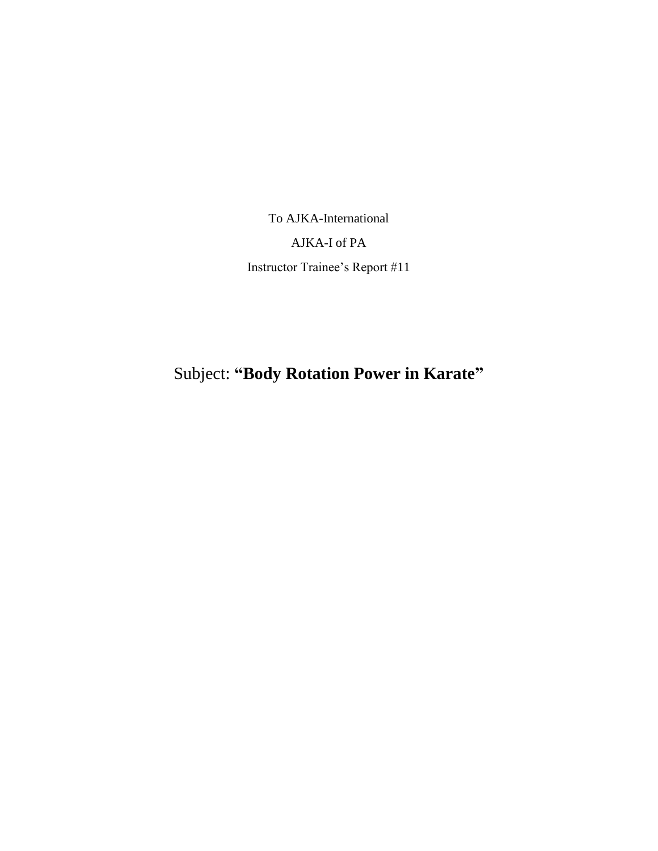To AJKA-International AJKA-I of PA Instructor Trainee's Report #11

Subject: **"Body Rotation Power in Karate"**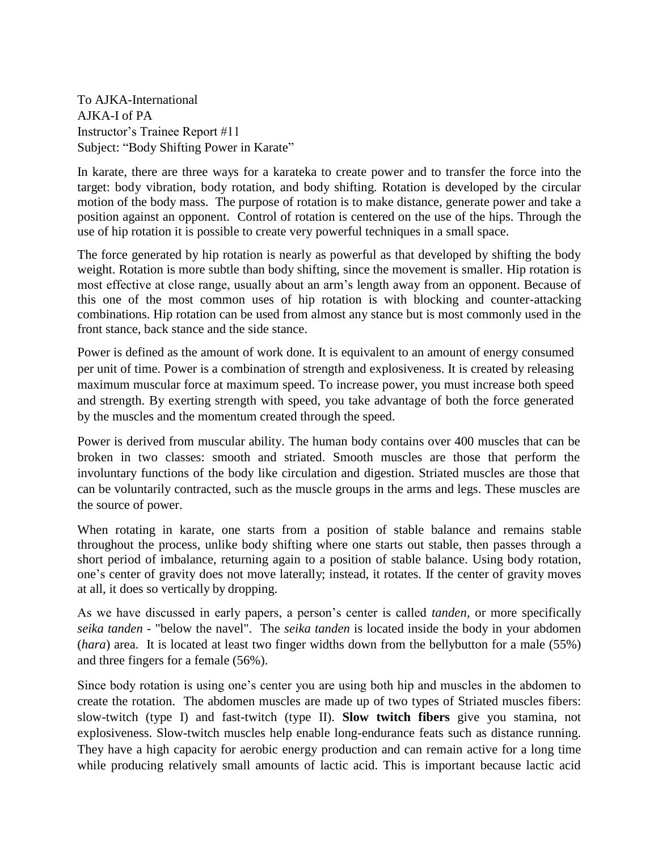To AJKA-International AJKA-I of PA Instructor's Trainee Report #11 Subject: "Body Shifting Power in Karate"

In karate, there are three ways for a karateka to create power and to transfer the force into the target: body vibration, body rotation, and body shifting. Rotation is developed by the circular motion of the body mass. The purpose of rotation is to make distance, generate power and take a position against an opponent. Control of rotation is centered on the use of the hips. Through the use of hip rotation it is possible to create very powerful techniques in a small space.

The force generated by hip rotation is nearly as powerful as that developed by shifting the body weight. Rotation is more subtle than body shifting, since the movement is smaller. Hip rotation is most effective at close range, usually about an arm's length away from an opponent. Because of this one of the most common uses of hip rotation is with blocking and counter-attacking combinations. Hip rotation can be used from almost any stance but is most commonly used in the front stance, back stance and the side stance.

Power is defined as the amount of work done. It is equivalent to an amount of energy consumed per unit of time. Power is a combination of strength and explosiveness. It is created by releasing maximum muscular force at maximum speed. To increase power, you must increase both speed and strength. By exerting strength with speed, you take advantage of both the force generated by the muscles and the momentum created through the speed.

Power is derived from muscular ability. The human body contains over 400 muscles that can be broken in two classes: smooth and striated. Smooth muscles are those that perform the involuntary functions of the body like circulation and digestion. Striated muscles are those that can be voluntarily contracted, such as the muscle groups in the arms and legs. These muscles are the source of power.

When rotating in karate, one starts from a position of stable balance and remains stable throughout the process, unlike body shifting where one starts out stable, then passes through a short period of imbalance, returning again to a position of stable balance. Using body rotation, one's center of gravity does not move laterally; instead, it rotates. If the center of gravity moves at all, it does so vertically by dropping.

As we have discussed in early papers, a person's center is called *tanden,* or more specifically *seika tanden -* "below the navel". The *seika tanden* is located inside the body in your abdomen (*hara*) area. It is located at least two finger widths down from the bellybutton for a male (55%) and three fingers for a female (56%).

Since body rotation is using one's center you are using both hip and muscles in the abdomen to create the rotation. The abdomen muscles are made up of two types of Striated muscles fibers: slow-twitch (type I) and fast-twitch (type II). **Slow twitch fibers** give you stamina, not explosiveness. Slow-twitch muscles help enable long-endurance feats such as distance running. They have a high capacity for aerobic energy production and can remain active for a long time while producing relatively small amounts of lactic acid. This is important because lactic acid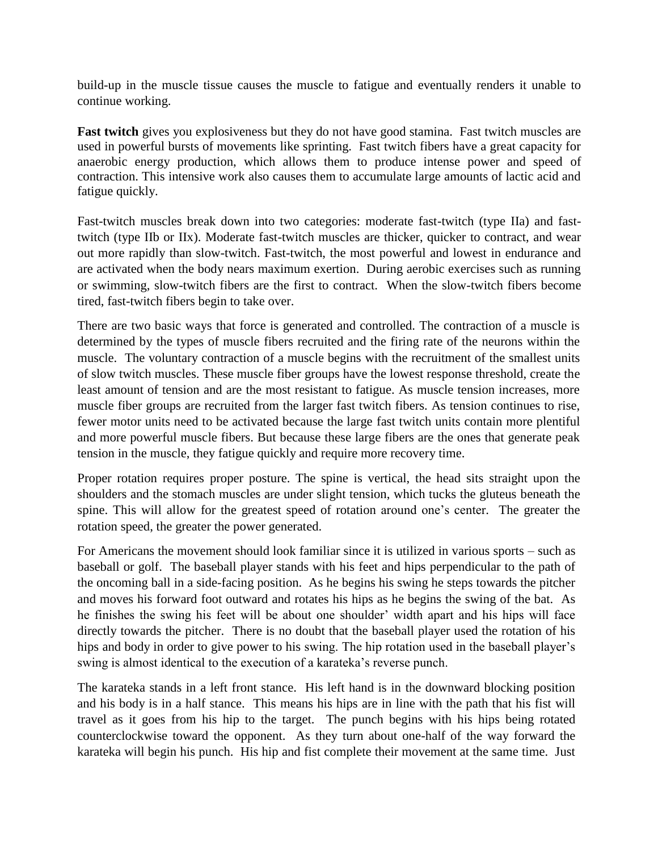build-up in the muscle tissue causes the muscle to fatigue and eventually renders it unable to continue working.

**Fast twitch** gives you explosiveness but they do not have good stamina. Fast twitch muscles are used in powerful bursts of movements like sprinting. Fast twitch fibers have a great capacity for anaerobic energy production, which allows them to produce intense power and speed of contraction. This intensive work also causes them to accumulate large amounts of lactic acid and fatigue quickly.

Fast-twitch muscles break down into two categories: moderate fast-twitch (type IIa) and fasttwitch (type IIb or IIx). Moderate fast-twitch muscles are thicker, quicker to contract, and wear out more rapidly than slow-twitch. Fast-twitch, the most powerful and lowest in endurance and are activated when the body nears maximum exertion. During aerobic exercises such as running or swimming, slow-twitch fibers are the first to contract. When the slow-twitch fibers become tired, fast-twitch fibers begin to take over.

There are two basic ways that force is generated and controlled. The contraction of a muscle is determined by the types of muscle fibers recruited and the firing rate of the neurons within the muscle. The voluntary contraction of a muscle begins with the recruitment of the smallest units of slow twitch muscles. These muscle fiber groups have the lowest response threshold, create the least amount of tension and are the most resistant to fatigue. As muscle tension increases, more muscle fiber groups are recruited from the larger fast twitch fibers. As tension continues to rise, fewer motor units need to be activated because the large fast twitch units contain more plentiful and more powerful muscle fibers. But because these large fibers are the ones that generate peak tension in the muscle, they fatigue quickly and require more recovery time.

Proper rotation requires proper posture. The spine is vertical, the head sits straight upon the shoulders and the stomach muscles are under slight tension, which tucks the gluteus beneath the spine. This will allow for the greatest speed of rotation around one's center. The greater the rotation speed, the greater the power generated.

For Americans the movement should look familiar since it is utilized in various sports – such as baseball or golf. The baseball player stands with his feet and hips perpendicular to the path of the oncoming ball in a side-facing position. As he begins his swing he steps towards the pitcher and moves his forward foot outward and rotates his hips as he begins the swing of the bat. As he finishes the swing his feet will be about one shoulder' width apart and his hips will face directly towards the pitcher. There is no doubt that the baseball player used the rotation of his hips and body in order to give power to his swing. The hip rotation used in the baseball player's swing is almost identical to the execution of a karateka's reverse punch.

The karateka stands in a left front stance. His left hand is in the downward blocking position and his body is in a half stance. This means his hips are in line with the path that his fist will travel as it goes from his hip to the target. The punch begins with his hips being rotated counterclockwise toward the opponent. As they turn about one-half of the way forward the karateka will begin his punch. His hip and fist complete their movement at the same time. Just